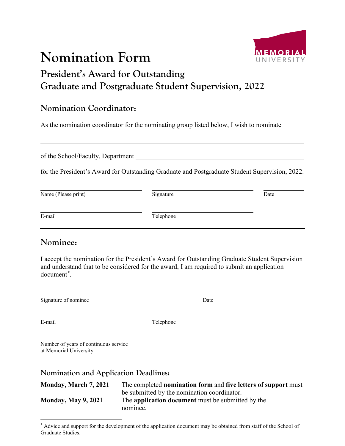# **Nomination Form**



## **President's Award for Outstanding Graduate and Postgraduate Student Supervision, 2022**

#### **Nomination Coordinator:**

As the nomination coordinator for the nominating group listed below, I wish to nominate

of the School/Faculty, Department

for the President's Award for Outstanding Graduate and Postgraduate Student Supervision, 2022.

| Name (Please print) | Signature | Date |
|---------------------|-----------|------|
| E-mail              | Telephone |      |

#### **Nominee:**

I accept the nomination for the President's Award for Outstanding Graduate Student Supervision and understand that to be considered for the award, I am required to submit an application document[\\*](#page-0-0) .

Signature of nominee Date

E-mail Telephone

Number of years of continuous service at Memorial University

**Nomination and Application Deadlines:**

**Monday, March 7, 2021** The completed **nomination form** and **five letters of support** must be submitted by the nomination coordinator. **Monday, May 9, 202**1 The **application document** must be submitted by the nominee.

<span id="page-0-0"></span> <sup>\*</sup> Advice and support for the development of the application document may be obtained from staff of the School of Graduate Studies.